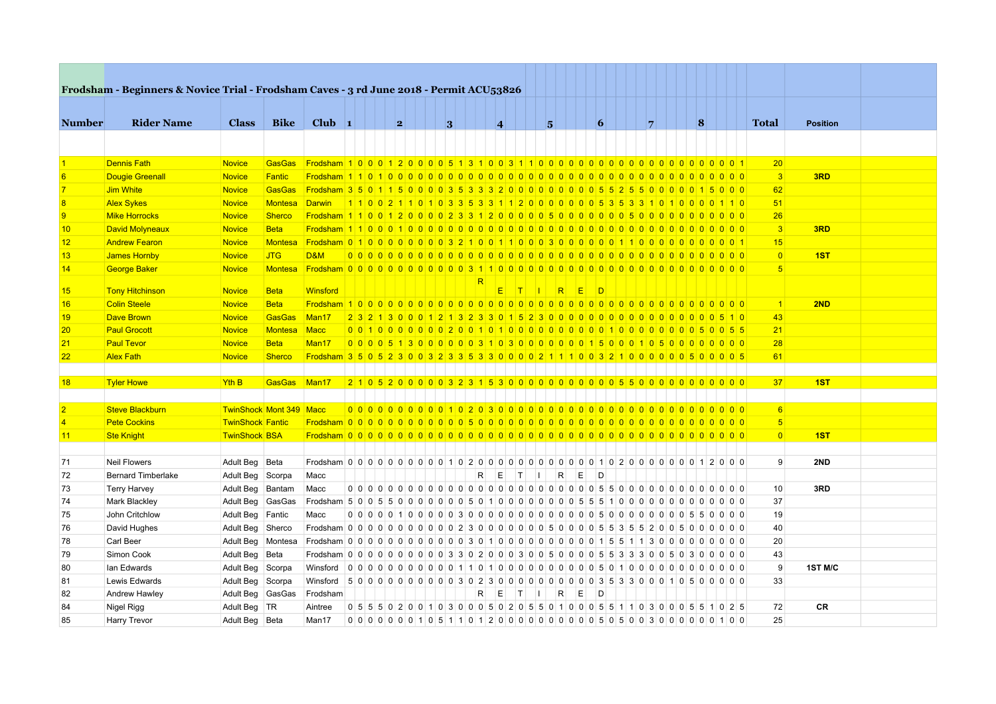|                | Frodsham - Beginners & Novice Trial - Frodsham Caves - 3 rd June 2018 - Permit ACU53826 |                                |               |                                                                                          |  |   |  |   |    |                                                                                 |           |                |   |        |          |                 |                |  |          |  |                 |                 |  |
|----------------|-----------------------------------------------------------------------------------------|--------------------------------|---------------|------------------------------------------------------------------------------------------|--|---|--|---|----|---------------------------------------------------------------------------------|-----------|----------------|---|--------|----------|-----------------|----------------|--|----------|--|-----------------|-----------------|--|
|                |                                                                                         |                                |               |                                                                                          |  |   |  |   |    |                                                                                 |           |                |   |        |          |                 |                |  |          |  |                 |                 |  |
| <b>Number</b>  | <b>Rider Name</b>                                                                       | <b>Class</b>                   | <b>Bike</b>   | Club $\vert$ 1                                                                           |  | 2 |  | 3 |    | $\overline{4}$                                                                  |           |                | 5 |        |          | $\vert 6 \vert$ | $\overline{7}$ |  | $\bf{8}$ |  | <b>Total</b>    | <b>Position</b> |  |
|                |                                                                                         |                                |               |                                                                                          |  |   |  |   |    |                                                                                 |           |                |   |        |          |                 |                |  |          |  |                 |                 |  |
|                |                                                                                         |                                |               |                                                                                          |  |   |  |   |    |                                                                                 |           |                |   |        |          |                 |                |  |          |  |                 |                 |  |
|                | <b>Dennis Fath</b>                                                                      | <b>Novice</b>                  | <b>GasGas</b> |                                                                                          |  |   |  |   |    |                                                                                 |           |                |   |        |          |                 |                |  |          |  | 20 <sup>2</sup> |                 |  |
|                | <b>Dougie Greenall</b>                                                                  | <b>Novice</b>                  | Fantic        |                                                                                          |  |   |  |   |    |                                                                                 |           |                |   |        |          |                 |                |  |          |  | $\vert 3 \vert$ | 3RD             |  |
|                | Jim White                                                                               | <b>Novice</b>                  | <b>GasGas</b> |                                                                                          |  |   |  |   |    |                                                                                 |           |                |   |        |          |                 |                |  |          |  | 62              |                 |  |
| $\overline{8}$ | <b>Alex Sykes</b>                                                                       | <b>Novice</b>                  | Montesa       | <u>Darwin 11002110103353311200000005353310100001110</u>                                  |  |   |  |   |    |                                                                                 |           |                |   |        |          |                 |                |  |          |  | 51              |                 |  |
| $\overline{9}$ | <b>Mike Horrocks</b>                                                                    | <b>Novice</b>                  | <b>Sherco</b> |                                                                                          |  |   |  |   |    |                                                                                 |           |                |   |        |          |                 |                |  |          |  | 26              |                 |  |
| 10             | <b>David Molyneaux</b>                                                                  | <b>Novice</b>                  | <b>Beta</b>   |                                                                                          |  |   |  |   |    |                                                                                 |           |                |   |        |          |                 |                |  |          |  | 3               | 3RD             |  |
| 12             | <b>Andrew Fearon</b>                                                                    | <b>Novice</b>                  | Montesa       |                                                                                          |  |   |  |   |    |                                                                                 |           |                |   |        |          |                 |                |  |          |  | 15              |                 |  |
| 13             | <b>James Hornby</b>                                                                     | <b>Novice</b>                  | <b>JTG</b>    | <b>D&amp;M</b>                                                                           |  |   |  |   |    |                                                                                 |           |                |   |        |          |                 |                |  |          |  | $\overline{0}$  | 1ST             |  |
| 14             | <b>George Baker</b>                                                                     | <b>Novice</b>                  | Montesa       |                                                                                          |  |   |  |   |    |                                                                                 |           |                |   |        |          |                 |                |  |          |  | 5 <sup>5</sup>  |                 |  |
| 15             | <b>Tony Hitchinson</b>                                                                  | <b>Novice</b>                  | <b>Beta</b>   | Winsford                                                                                 |  |   |  |   |    | E                                                                               | <b>TI</b> | - 11           | R | E      | <b>D</b> |                 |                |  |          |  |                 |                 |  |
| 16             | <b>Colin Steele</b>                                                                     | <b>Novice</b>                  | <b>Beta</b>   |                                                                                          |  |   |  |   |    |                                                                                 |           |                |   |        |          |                 |                |  |          |  | $\vert$ 1       | 2ND             |  |
| 19             | <b>Dave Brown</b>                                                                       | <b>Novice</b>                  | <b>GasGas</b> | Man <sub>17</sub>                                                                        |  |   |  |   |    |                                                                                 |           |                |   |        |          |                 |                |  |          |  | 43              |                 |  |
| 20             | <b>Paul Grocott</b>                                                                     | <b>Novice</b>                  | Montesa       | Macc                                                                                     |  |   |  |   |    |                                                                                 |           |                |   |        |          |                 |                |  |          |  | 21              |                 |  |
|                |                                                                                         |                                |               |                                                                                          |  |   |  |   |    |                                                                                 |           |                |   |        |          |                 |                |  |          |  | 28              |                 |  |
| 21             | <b>Paul Tevor</b>                                                                       | <b>Novice</b>                  | <b>Beta</b>   | Man17                                                                                    |  |   |  |   |    | 00005130000310300000015000105000000000                                          |           |                |   |        |          |                 |                |  |          |  |                 |                 |  |
| 22             | <b>Alex Fath</b>                                                                        | <b>Novice</b>                  | <b>Sherco</b> | Frodsham 3 5 0 5 2 3 0 0 3 2 3 3 5 3 3 0 0 0 0 2 1 1 1 0 0 3 2 1 0 0 0 0 0 5 0 0 0 0 5 6 |  |   |  |   |    |                                                                                 |           |                |   |        |          |                 |                |  |          |  | 61              |                 |  |
|                |                                                                                         |                                |               |                                                                                          |  |   |  |   |    |                                                                                 |           |                |   |        |          |                 |                |  |          |  |                 |                 |  |
| 18             | <b>Tyler Howe</b>                                                                       | Yth B                          | <b>GasGas</b> | Man <sub>17</sub>                                                                        |  |   |  |   |    |                                                                                 |           |                |   |        |          |                 |                |  |          |  | 37              | 1ST             |  |
|                |                                                                                         |                                |               |                                                                                          |  |   |  |   |    |                                                                                 |           |                |   |        |          |                 |                |  |          |  |                 |                 |  |
| $\overline{2}$ | <b>Steve Blackburn</b>                                                                  | <b>TwinShock Mont 349 Macc</b> |               |                                                                                          |  |   |  |   |    |                                                                                 |           |                |   |        |          |                 |                |  |          |  | 6 <sup>1</sup>  |                 |  |
| $\overline{4}$ | <b>Pete Cockins</b>                                                                     | <b>TwinShock Fantic</b>        |               |                                                                                          |  |   |  |   |    |                                                                                 |           |                |   |        |          |                 |                |  |          |  | 5 <sup>1</sup>  |                 |  |
| 11             | <b>Ste Knight</b>                                                                       | <b>TwinShock BSA</b>           |               |                                                                                          |  |   |  |   |    |                                                                                 |           |                |   |        |          |                 |                |  |          |  | 0               | 1ST             |  |
|                |                                                                                         |                                |               |                                                                                          |  |   |  |   |    |                                                                                 |           |                |   |        |          |                 |                |  |          |  |                 |                 |  |
| 71             | <b>Neil Flowers</b>                                                                     | Adult Beg Beta                 |               |                                                                                          |  |   |  |   |    |                                                                                 |           |                |   |        |          |                 |                |  |          |  | 9               | 2ND             |  |
| 72             | <b>Bernard Timberlake</b>                                                               | Adult Beg Scorpa               |               | Macc                                                                                     |  |   |  |   | R. | E                                                                               | T         | $\mathbf{I}$   |   | R<br>E |          | D               |                |  |          |  |                 |                 |  |
| 73             | <b>Terry Harvey</b>                                                                     | Adult Beg Bantam               |               | Macc                                                                                     |  |   |  |   |    |                                                                                 |           |                |   |        |          |                 |                |  |          |  | 10              | 3RD             |  |
| 74             | Mark Blackley                                                                           | Adult Beg GasGas               |               |                                                                                          |  |   |  |   |    |                                                                                 |           |                |   |        |          |                 |                |  |          |  | 37              |                 |  |
| 75             | John Critchlow                                                                          | Adult Beg Fantic               |               | Macc                                                                                     |  |   |  |   |    | 000001000030000000000000500000000550000                                         |           |                |   |        |          |                 |                |  |          |  | 19              |                 |  |
| 76             | David Hughes                                                                            | Adult Beg Sherco               |               |                                                                                          |  |   |  |   |    |                                                                                 |           |                |   |        |          |                 |                |  |          |  | 40              |                 |  |
| 78             | Carl Beer                                                                               | Adult Beg Montesa              |               |                                                                                          |  |   |  |   |    |                                                                                 |           |                |   |        |          |                 |                |  |          |  | 20              |                 |  |
| 79             | Simon Cook                                                                              | Adult Beg Beta                 |               |                                                                                          |  |   |  |   |    |                                                                                 |           |                |   |        |          |                 |                |  |          |  | 43              |                 |  |
| 80             | Ian Edwards                                                                             | Adult Beg Scorpa               |               | Winsford                                                                                 |  |   |  |   |    |                                                                                 |           |                |   |        |          |                 |                |  |          |  | 9               | 1ST M/C         |  |
| 81             | Lewis Edwards                                                                           | Adult Beg Scorpa               |               | Winsford                                                                                 |  |   |  |   |    | 500000000000302300000000000353300010500000                                      |           |                |   |        |          |                 |                |  |          |  | 33              |                 |  |
| 82             | Andrew Hawley                                                                           | Adult Beg GasGas               |               | Frodsham                                                                                 |  |   |  |   | R. | E                                                                               | T         | $\blacksquare$ | R | E      |          | $\Box$          |                |  |          |  |                 |                 |  |
| 84             | Nigel Rigg                                                                              | Adult Beg TR                   |               | Aintree                                                                                  |  |   |  |   |    | 0 5 5 5 0 2 0 0 1 0 3 0 0 0 5 0 2 0 5 5 0 1 0 0 0 5 5 1 1 0 3 0 0 0 5 5 1 0 2 5 |           |                |   |        |          |                 |                |  |          |  | 72              | <b>CR</b>       |  |
| 85             | Harry Trevor                                                                            | Adult Beg Beta                 |               | Man17                                                                                    |  |   |  |   |    |                                                                                 |           |                |   |        |          |                 |                |  |          |  | 25              |                 |  |